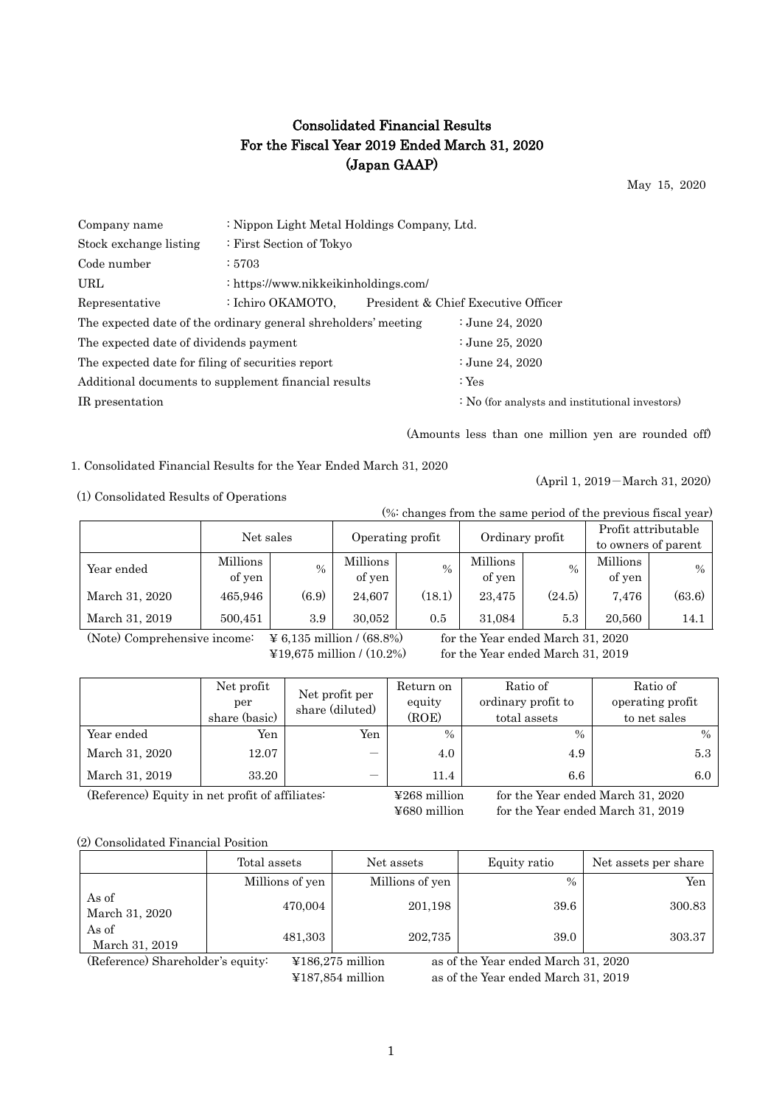# Consolidated Financial Results For the Fiscal Year 2019 Ended March 31, 2020 (Japan GAAP)

May 15, 2020

| Company name                                      | : Nippon Light Metal Holdings Company, Ltd.                    |                                                 |
|---------------------------------------------------|----------------------------------------------------------------|-------------------------------------------------|
| Stock exchange listing                            | : First Section of Tokyo                                       |                                                 |
| Code number                                       | :5703                                                          |                                                 |
| URL                                               | : https://www.nikkeikinholdings.com/                           |                                                 |
| Representative                                    | : Ichiro OKAMOTO,                                              | President & Chief Executive Officer             |
|                                                   | The expected date of the ordinary general shreholders' meeting | : June 24, $2020$                               |
| The expected date of dividends payment            |                                                                | : June 25, $2020$                               |
| The expected date for filing of securities report |                                                                | : June 24, 2020                                 |
|                                                   | Additional documents to supplement financial results           | : $Yes$                                         |
| IR presentation                                   |                                                                | : No (for analysts and institutional investors) |
|                                                   |                                                                |                                                 |

(Amounts less than one million yen are rounded off)

(April 1, 2019-March 31, 2020)

1. Consolidated Financial Results for the Year Ended March 31, 2020

(1) Consolidated Results of Operations

(%: changes from the same period of the previous fiscal year)

|                | Net sales |               |                  |        | Ordinary profit |        | Profit attributable |                     |
|----------------|-----------|---------------|------------------|--------|-----------------|--------|---------------------|---------------------|
|                |           |               | Operating profit |        |                 |        |                     | to owners of parent |
| Year ended     | Millions  | $\frac{0}{0}$ | Millions         | $\%$   | Millions        | $\%$   | Millions            | $\%$                |
|                | of yen    |               | of yen           |        | of yen          |        | of yen              |                     |
| March 31, 2020 | 465,946   | (6.9)         | 24,607           | (18.1) | 23,475          | (24.5) | 7.476               | (63.6)              |
| March 31, 2019 | 500,451   | 3.9           | 30.052           | 0.5    | 31,084          | 5.3    | 20,560              | 14.1                |

(Note) Comprehensive income:  $\angle$  46,135 million / (68.8%) for the Year ended March 31, 2020

 $\text{\textsterling}19,675$  million / (10.2%) for the Year ended March 31, 2019

|                | Net profit<br>per<br>share (basic) | Net profit per<br>share (diluted) | Return on<br>equity<br>(ROE) | Ratio of<br>ordinary profit to<br>total assets | Ratio of<br>operating profit<br>to net sales |
|----------------|------------------------------------|-----------------------------------|------------------------------|------------------------------------------------|----------------------------------------------|
| Year ended     | Yen                                | Yen                               | $\frac{0}{0}$                | $\%$                                           | $\%$                                         |
| March 31, 2020 | 12.07                              | –                                 | 4.0                          | 4.9                                            | 5.3                                          |
| March 31, 2019 | 33.20                              |                                   | 11.4                         | $6.6\,$                                        | 6.0                                          |

(Reference) Equity in net profit of affiliates: ¥268 million for the Year ended March 31, 2020

¥680 million for the Year ended March 31, 2019

## (2) Consolidated Financial Position

|                         | Total assets    | Net assets      | Equity ratio  | Net assets per share |
|-------------------------|-----------------|-----------------|---------------|----------------------|
|                         | Millions of yen | Millions of yen | $\frac{0}{0}$ | Yen                  |
| As of<br>March 31, 2020 | 470,004         | 201,198         | 39.6          | 300.83               |
| As of<br>March 31, 2019 | 481,303         | 202,735         | 39.0          | 303.37               |

(Reference) Shareholder's equity: ¥186,275 million as of the Year ended March 31, 2020 ¥187,854 million as of the Year ended March 31, 2019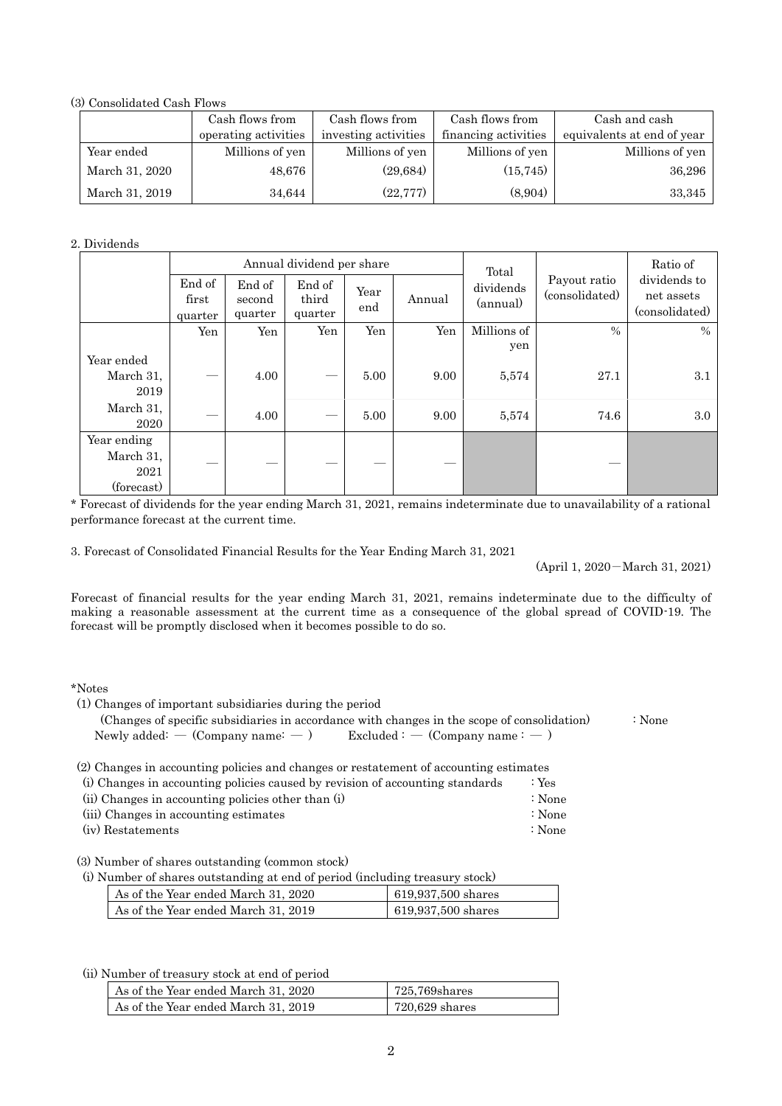### (3) Consolidated Cash Flows

|                | Cash flows from      | Cash flows from      | Cash flows from      | Cash and cash              |
|----------------|----------------------|----------------------|----------------------|----------------------------|
|                | operating activities | investing activities | financing activities | equivalents at end of year |
| Year ended     | Millions of yen      | Millions of yen      | Millions of yen      | Millions of yen            |
| March 31, 2020 | 48,676               | (29, 684)            | (15, 745)            | 36,296                     |
| March 31, 2019 | 34,644               | (22, 777)            | (8,904)              | 33,345                     |

#### 2. Dividends

|                                                |                            |                             | Annual dividend per share  |             |        | Total                 |                                | Ratio of                                     |
|------------------------------------------------|----------------------------|-----------------------------|----------------------------|-------------|--------|-----------------------|--------------------------------|----------------------------------------------|
|                                                | End of<br>first<br>quarter | End of<br>second<br>quarter | End of<br>third<br>quarter | Year<br>end | Annual | dividends<br>(annual) | Payout ratio<br>(consolidated) | dividends to<br>net assets<br>(consolidated) |
|                                                | Yen                        | Yen                         | Yen                        | Yen         | Yen    | Millions of<br>yen    | $\frac{0}{0}$                  | $\%$                                         |
| Year ended<br>March 31,<br>2019                |                            | 4.00                        |                            | 5.00        | 9.00   | 5,574                 | 27.1                           | 3.1                                          |
| March 31,<br>2020                              |                            | 4.00                        |                            | 5.00        | 9.00   | 5,574                 | 74.6                           | 3.0                                          |
| Year ending<br>March 31,<br>2021<br>(forecast) |                            |                             |                            |             |        |                       |                                |                                              |

\* Forecast of dividends for the year ending March 31, 2021, remains indeterminate due to unavailability of a rational performance forecast at the current time.

3. Forecast of Consolidated Financial Results for the Year Ending March 31, 2021

(April 1, 2020-March 31, 2021)

Forecast of financial results for the year ending March 31, 2021, remains indeterminate due to the difficulty of making a reasonable assessment at the current time as a consequence of the global spread of COVID-19. The forecast will be promptly disclosed when it becomes possible to do so.

### \*Notes

| (1) Changes of important subsidiaries during the period                                     |        |
|---------------------------------------------------------------------------------------------|--------|
| (Changes of specific subsidiaries in accordance with changes in the scope of consolidation) | ∶ None |
| Newly added: $-$ (Company name: $-$ )<br>$\text{Excluded}:$ $\sim$ (Company name : $\sim$ ) |        |
| (2) Changes in accounting policies and changes or restatement of accounting estimates       |        |
| (i) Changes in accounting policies caused by revision of accounting standards<br>: Yes      |        |

| $\mu$ onanges in accounting poncies caused by Tevision of accounting standards | - 199  |
|--------------------------------------------------------------------------------|--------|
| (ii) Changes in accounting policies other than (i)                             | ∶ None |
| (iii) Changes in accounting estimates                                          | ∶ None |
| (iv) Restatements                                                              | : None |

(3) Number of shares outstanding (common stock)

(i) Number of shares outstanding at end of period (including treasury stock)

| As of the Year ended March 31, 2020 | $619,937,500$ shares            |
|-------------------------------------|---------------------------------|
| As of the Year ended March 31, 2019 | $  619,937,500 \text{ shares} $ |

(ii) Number of treasury stock at end of period

| As of the Year ended March 31, 2020 | 725.769shares  |
|-------------------------------------|----------------|
| As of the Year ended March 31, 2019 | 720,629 shares |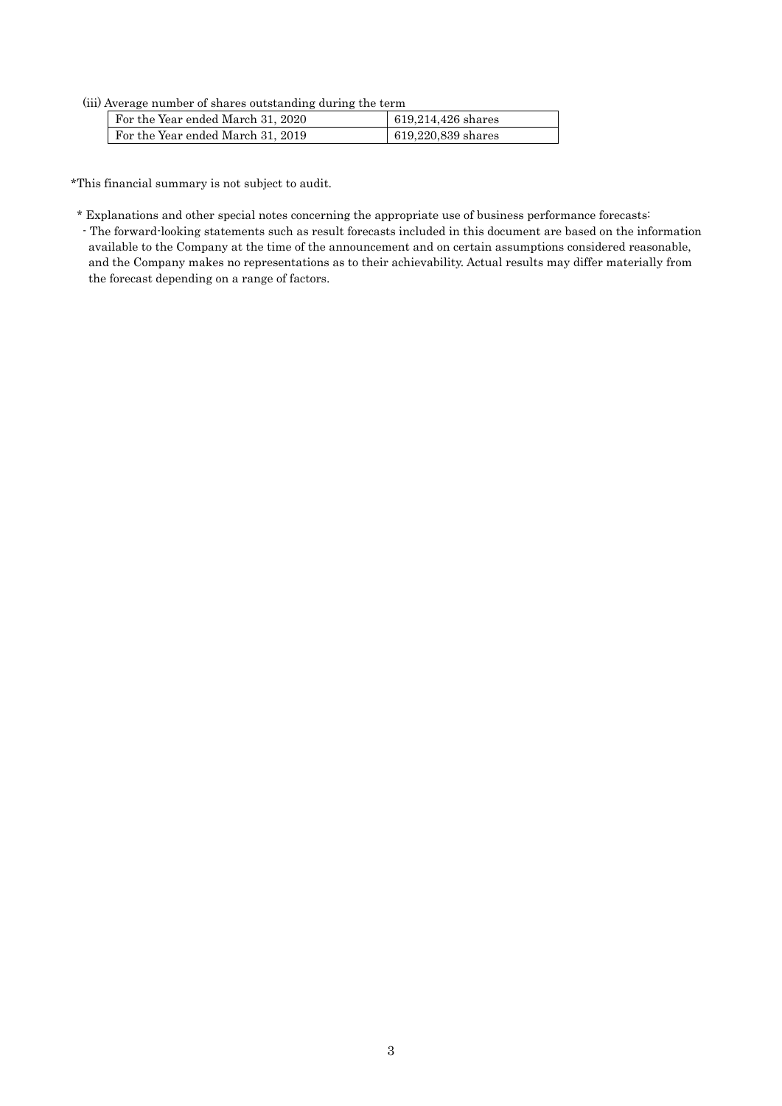#### (iii) Average number of shares outstanding during the term

| For the Year ended March 31, 2020 | 619,214,426 shares |
|-----------------------------------|--------------------|
| For the Year ended March 31, 2019 | 619,220,839 shares |

\*This financial summary is not subject to audit.

\* Explanations and other special notes concerning the appropriate use of business performance forecasts: - The forward-looking statements such as result forecasts included in this document are based on the information available to the Company at the time of the announcement and on certain assumptions considered reasonable, and the Company makes no representations as to their achievability. Actual results may differ materially from the forecast depending on a range of factors.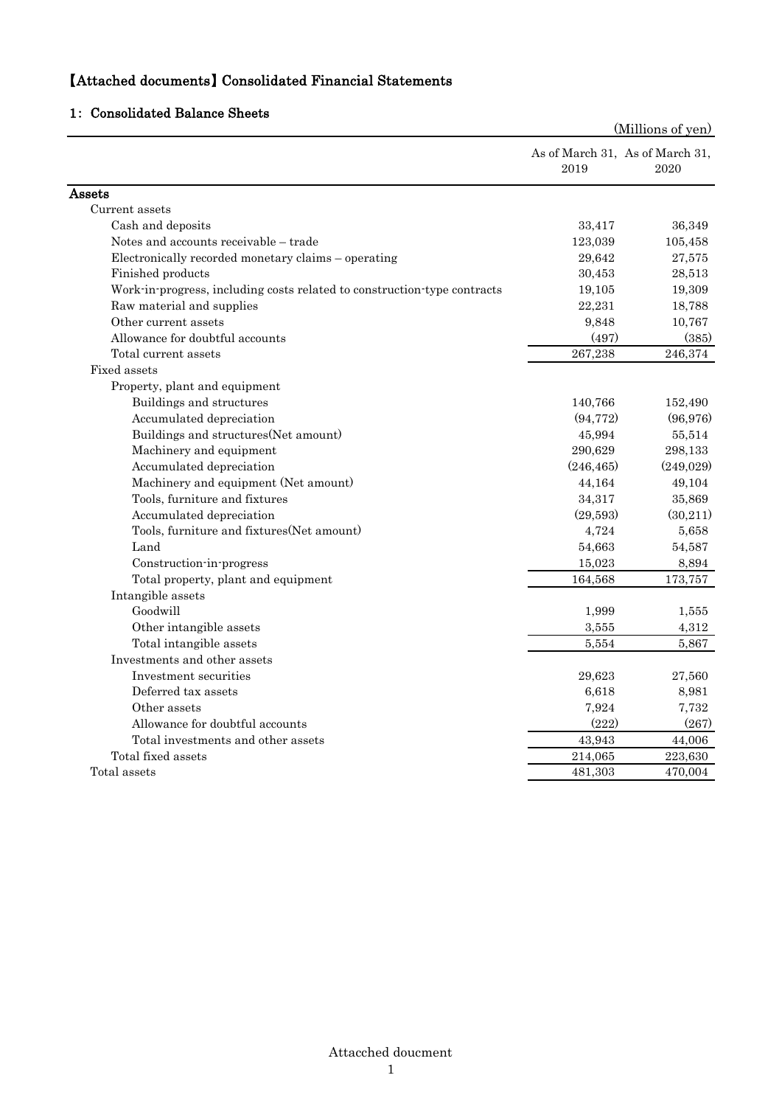# 【Attached documents】 Consolidated Financial Statements

# 1: Consolidated Balance Sheets

|                                                                          | (Millions of yen)                       |            |  |
|--------------------------------------------------------------------------|-----------------------------------------|------------|--|
|                                                                          | As of March 31, As of March 31,<br>2019 | 2020       |  |
| Assets                                                                   |                                         |            |  |
| Current assets                                                           |                                         |            |  |
| Cash and deposits                                                        | 33,417                                  | 36,349     |  |
| Notes and accounts receivable - trade                                    | 123,039                                 | 105,458    |  |
| Electronically recorded monetary claims - operating                      | 29,642                                  | 27,575     |  |
| Finished products                                                        | 30,453                                  | 28,513     |  |
| Work in progress, including costs related to construction type contracts | 19,105                                  | 19,309     |  |
| Raw material and supplies                                                | 22,231                                  | 18,788     |  |
| Other current assets                                                     | 9,848                                   | 10,767     |  |
| Allowance for doubtful accounts                                          | (497)                                   | (385)      |  |
| Total current assets                                                     | 267,238                                 | 246,374    |  |
| Fixed assets                                                             |                                         |            |  |
| Property, plant and equipment                                            |                                         |            |  |
| Buildings and structures                                                 | 140,766                                 | 152,490    |  |
| Accumulated depreciation                                                 | (94, 772)                               | (96,976)   |  |
| Buildings and structures (Net amount)                                    | 45,994                                  | 55,514     |  |
| Machinery and equipment                                                  | 290,629                                 | 298,133    |  |
| Accumulated depreciation                                                 | (246, 465)                              | (249, 029) |  |
| Machinery and equipment (Net amount)                                     | 44,164                                  | 49,104     |  |
| Tools, furniture and fixtures                                            | 34,317                                  | 35,869     |  |
| Accumulated depreciation                                                 | (29,593)                                | (30,211)   |  |
| Tools, furniture and fixtures (Net amount)                               | 4,724                                   | 5,658      |  |
| Land                                                                     | 54,663                                  | 54,587     |  |
| Construction-in-progress                                                 | 15,023                                  | 8,894      |  |
| Total property, plant and equipment                                      | 164,568                                 | 173,757    |  |
| Intangible assets                                                        |                                         |            |  |
| Goodwill                                                                 | 1,999                                   | 1,555      |  |
| Other intangible assets                                                  | 3,555                                   | 4,312      |  |
| Total intangible assets                                                  | 5.554                                   | 5,867      |  |
| Investments and other assets                                             |                                         |            |  |
| Investment securities                                                    | 29,623                                  | 27,560     |  |
| Deferred tax assets                                                      | 6,618                                   | 8,981      |  |
| Other assets                                                             | 7,924                                   | 7,732      |  |
| Allowance for doubtful accounts                                          | (222)                                   | (267)      |  |
| Total investments and other assets                                       | 43,943                                  | 44,006     |  |
| Total fixed assets                                                       | 214,065                                 | 223,630    |  |
| Total assets                                                             | 481,303                                 | 470,004    |  |
|                                                                          |                                         |            |  |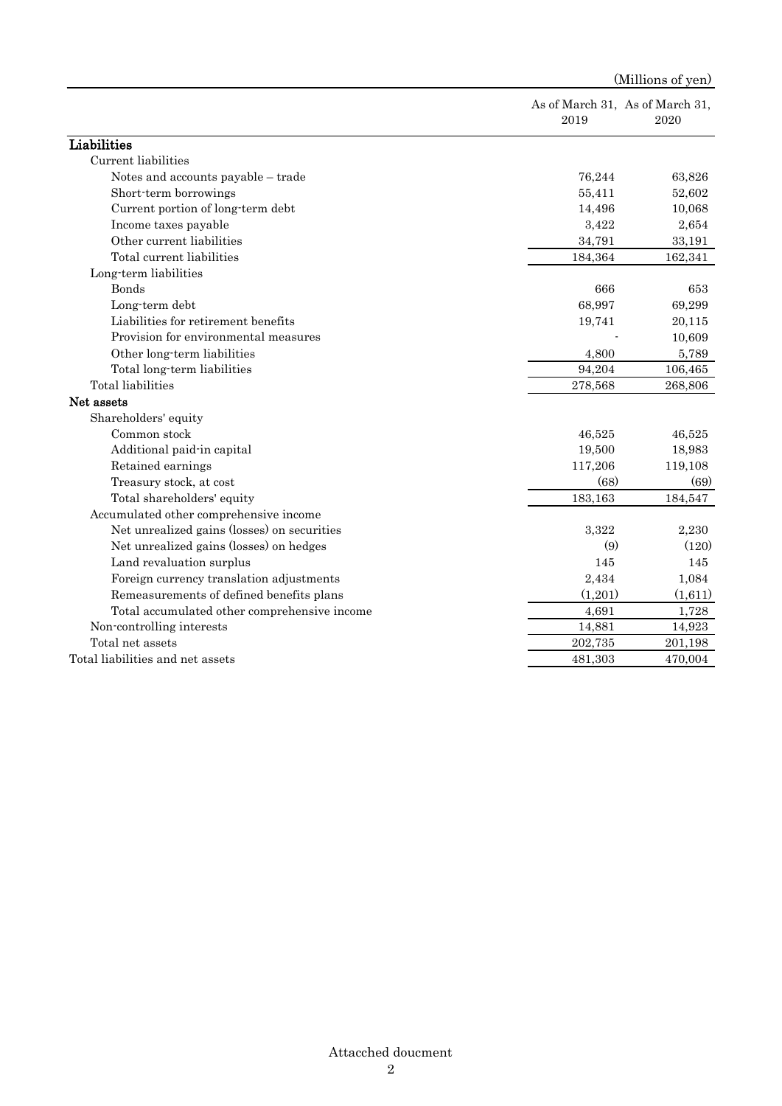| As of March 31, As of March 31,<br>2019<br>2020<br>Liabilities<br>Current liabilities<br>Notes and accounts payable - trade<br>76,244<br>63,826<br>52,602<br>Short-term borrowings<br>55,411<br>Current portion of long-term debt<br>10,068<br>14,496<br>3,422<br>2,654<br>Income taxes payable<br>Other current liabilities<br>34,791<br>33,191<br>Total current liabilities<br>184,364<br>162,341<br>Long-term liabilities<br>Bonds<br>666<br>653<br>68,997<br>69,299<br>Long-term debt<br>Liabilities for retirement benefits<br>20,115<br>19,741<br>Provision for environmental measures<br>10,609<br>Other long-term liabilities<br>4,800<br>5,789<br>Total long-term liabilities<br>94,204<br>106,465<br>Total liabilities<br>278,568<br>268,806<br>Net assets<br>Shareholders' equity<br>Common stock<br>46,525<br>46,525<br>Additional paid-in capital<br>19,500<br>18,983<br>Retained earnings<br>117,206<br>119,108<br>(68)<br>Treasury stock, at cost<br>(69)<br>183,163<br>Total shareholders' equity<br>184,547<br>Accumulated other comprehensive income<br>Net unrealized gains (losses) on securities<br>3,322<br>2,230<br>Net unrealized gains (losses) on hedges<br>(120)<br>(9)<br>Land revaluation surplus<br>145<br>145<br>Foreign currency translation adjustments<br>2,434<br>1,084<br>(1,201)<br>Remeasurements of defined benefits plans<br>(1,611)<br>4,691<br>1,728<br>Total accumulated other comprehensive income<br>Non-controlling interests<br>14,881<br>14,923<br>Total net assets<br>202,735<br>201,198<br>Total liabilities and net assets<br>481,303<br>470,004 |  | (Millions of yen) |  |  |
|-----------------------------------------------------------------------------------------------------------------------------------------------------------------------------------------------------------------------------------------------------------------------------------------------------------------------------------------------------------------------------------------------------------------------------------------------------------------------------------------------------------------------------------------------------------------------------------------------------------------------------------------------------------------------------------------------------------------------------------------------------------------------------------------------------------------------------------------------------------------------------------------------------------------------------------------------------------------------------------------------------------------------------------------------------------------------------------------------------------------------------------------------------------------------------------------------------------------------------------------------------------------------------------------------------------------------------------------------------------------------------------------------------------------------------------------------------------------------------------------------------------------------------------------------------------------------------------------------------|--|-------------------|--|--|
|                                                                                                                                                                                                                                                                                                                                                                                                                                                                                                                                                                                                                                                                                                                                                                                                                                                                                                                                                                                                                                                                                                                                                                                                                                                                                                                                                                                                                                                                                                                                                                                                     |  |                   |  |  |
|                                                                                                                                                                                                                                                                                                                                                                                                                                                                                                                                                                                                                                                                                                                                                                                                                                                                                                                                                                                                                                                                                                                                                                                                                                                                                                                                                                                                                                                                                                                                                                                                     |  |                   |  |  |
|                                                                                                                                                                                                                                                                                                                                                                                                                                                                                                                                                                                                                                                                                                                                                                                                                                                                                                                                                                                                                                                                                                                                                                                                                                                                                                                                                                                                                                                                                                                                                                                                     |  |                   |  |  |
|                                                                                                                                                                                                                                                                                                                                                                                                                                                                                                                                                                                                                                                                                                                                                                                                                                                                                                                                                                                                                                                                                                                                                                                                                                                                                                                                                                                                                                                                                                                                                                                                     |  |                   |  |  |
|                                                                                                                                                                                                                                                                                                                                                                                                                                                                                                                                                                                                                                                                                                                                                                                                                                                                                                                                                                                                                                                                                                                                                                                                                                                                                                                                                                                                                                                                                                                                                                                                     |  |                   |  |  |
|                                                                                                                                                                                                                                                                                                                                                                                                                                                                                                                                                                                                                                                                                                                                                                                                                                                                                                                                                                                                                                                                                                                                                                                                                                                                                                                                                                                                                                                                                                                                                                                                     |  |                   |  |  |
|                                                                                                                                                                                                                                                                                                                                                                                                                                                                                                                                                                                                                                                                                                                                                                                                                                                                                                                                                                                                                                                                                                                                                                                                                                                                                                                                                                                                                                                                                                                                                                                                     |  |                   |  |  |
|                                                                                                                                                                                                                                                                                                                                                                                                                                                                                                                                                                                                                                                                                                                                                                                                                                                                                                                                                                                                                                                                                                                                                                                                                                                                                                                                                                                                                                                                                                                                                                                                     |  |                   |  |  |
|                                                                                                                                                                                                                                                                                                                                                                                                                                                                                                                                                                                                                                                                                                                                                                                                                                                                                                                                                                                                                                                                                                                                                                                                                                                                                                                                                                                                                                                                                                                                                                                                     |  |                   |  |  |
|                                                                                                                                                                                                                                                                                                                                                                                                                                                                                                                                                                                                                                                                                                                                                                                                                                                                                                                                                                                                                                                                                                                                                                                                                                                                                                                                                                                                                                                                                                                                                                                                     |  |                   |  |  |
|                                                                                                                                                                                                                                                                                                                                                                                                                                                                                                                                                                                                                                                                                                                                                                                                                                                                                                                                                                                                                                                                                                                                                                                                                                                                                                                                                                                                                                                                                                                                                                                                     |  |                   |  |  |
|                                                                                                                                                                                                                                                                                                                                                                                                                                                                                                                                                                                                                                                                                                                                                                                                                                                                                                                                                                                                                                                                                                                                                                                                                                                                                                                                                                                                                                                                                                                                                                                                     |  |                   |  |  |
|                                                                                                                                                                                                                                                                                                                                                                                                                                                                                                                                                                                                                                                                                                                                                                                                                                                                                                                                                                                                                                                                                                                                                                                                                                                                                                                                                                                                                                                                                                                                                                                                     |  |                   |  |  |
|                                                                                                                                                                                                                                                                                                                                                                                                                                                                                                                                                                                                                                                                                                                                                                                                                                                                                                                                                                                                                                                                                                                                                                                                                                                                                                                                                                                                                                                                                                                                                                                                     |  |                   |  |  |
|                                                                                                                                                                                                                                                                                                                                                                                                                                                                                                                                                                                                                                                                                                                                                                                                                                                                                                                                                                                                                                                                                                                                                                                                                                                                                                                                                                                                                                                                                                                                                                                                     |  |                   |  |  |
|                                                                                                                                                                                                                                                                                                                                                                                                                                                                                                                                                                                                                                                                                                                                                                                                                                                                                                                                                                                                                                                                                                                                                                                                                                                                                                                                                                                                                                                                                                                                                                                                     |  |                   |  |  |
|                                                                                                                                                                                                                                                                                                                                                                                                                                                                                                                                                                                                                                                                                                                                                                                                                                                                                                                                                                                                                                                                                                                                                                                                                                                                                                                                                                                                                                                                                                                                                                                                     |  |                   |  |  |
|                                                                                                                                                                                                                                                                                                                                                                                                                                                                                                                                                                                                                                                                                                                                                                                                                                                                                                                                                                                                                                                                                                                                                                                                                                                                                                                                                                                                                                                                                                                                                                                                     |  |                   |  |  |
|                                                                                                                                                                                                                                                                                                                                                                                                                                                                                                                                                                                                                                                                                                                                                                                                                                                                                                                                                                                                                                                                                                                                                                                                                                                                                                                                                                                                                                                                                                                                                                                                     |  |                   |  |  |
|                                                                                                                                                                                                                                                                                                                                                                                                                                                                                                                                                                                                                                                                                                                                                                                                                                                                                                                                                                                                                                                                                                                                                                                                                                                                                                                                                                                                                                                                                                                                                                                                     |  |                   |  |  |
|                                                                                                                                                                                                                                                                                                                                                                                                                                                                                                                                                                                                                                                                                                                                                                                                                                                                                                                                                                                                                                                                                                                                                                                                                                                                                                                                                                                                                                                                                                                                                                                                     |  |                   |  |  |
|                                                                                                                                                                                                                                                                                                                                                                                                                                                                                                                                                                                                                                                                                                                                                                                                                                                                                                                                                                                                                                                                                                                                                                                                                                                                                                                                                                                                                                                                                                                                                                                                     |  |                   |  |  |
|                                                                                                                                                                                                                                                                                                                                                                                                                                                                                                                                                                                                                                                                                                                                                                                                                                                                                                                                                                                                                                                                                                                                                                                                                                                                                                                                                                                                                                                                                                                                                                                                     |  |                   |  |  |
|                                                                                                                                                                                                                                                                                                                                                                                                                                                                                                                                                                                                                                                                                                                                                                                                                                                                                                                                                                                                                                                                                                                                                                                                                                                                                                                                                                                                                                                                                                                                                                                                     |  |                   |  |  |
|                                                                                                                                                                                                                                                                                                                                                                                                                                                                                                                                                                                                                                                                                                                                                                                                                                                                                                                                                                                                                                                                                                                                                                                                                                                                                                                                                                                                                                                                                                                                                                                                     |  |                   |  |  |
|                                                                                                                                                                                                                                                                                                                                                                                                                                                                                                                                                                                                                                                                                                                                                                                                                                                                                                                                                                                                                                                                                                                                                                                                                                                                                                                                                                                                                                                                                                                                                                                                     |  |                   |  |  |
|                                                                                                                                                                                                                                                                                                                                                                                                                                                                                                                                                                                                                                                                                                                                                                                                                                                                                                                                                                                                                                                                                                                                                                                                                                                                                                                                                                                                                                                                                                                                                                                                     |  |                   |  |  |
|                                                                                                                                                                                                                                                                                                                                                                                                                                                                                                                                                                                                                                                                                                                                                                                                                                                                                                                                                                                                                                                                                                                                                                                                                                                                                                                                                                                                                                                                                                                                                                                                     |  |                   |  |  |
|                                                                                                                                                                                                                                                                                                                                                                                                                                                                                                                                                                                                                                                                                                                                                                                                                                                                                                                                                                                                                                                                                                                                                                                                                                                                                                                                                                                                                                                                                                                                                                                                     |  |                   |  |  |
|                                                                                                                                                                                                                                                                                                                                                                                                                                                                                                                                                                                                                                                                                                                                                                                                                                                                                                                                                                                                                                                                                                                                                                                                                                                                                                                                                                                                                                                                                                                                                                                                     |  |                   |  |  |
|                                                                                                                                                                                                                                                                                                                                                                                                                                                                                                                                                                                                                                                                                                                                                                                                                                                                                                                                                                                                                                                                                                                                                                                                                                                                                                                                                                                                                                                                                                                                                                                                     |  |                   |  |  |
|                                                                                                                                                                                                                                                                                                                                                                                                                                                                                                                                                                                                                                                                                                                                                                                                                                                                                                                                                                                                                                                                                                                                                                                                                                                                                                                                                                                                                                                                                                                                                                                                     |  |                   |  |  |
|                                                                                                                                                                                                                                                                                                                                                                                                                                                                                                                                                                                                                                                                                                                                                                                                                                                                                                                                                                                                                                                                                                                                                                                                                                                                                                                                                                                                                                                                                                                                                                                                     |  |                   |  |  |
|                                                                                                                                                                                                                                                                                                                                                                                                                                                                                                                                                                                                                                                                                                                                                                                                                                                                                                                                                                                                                                                                                                                                                                                                                                                                                                                                                                                                                                                                                                                                                                                                     |  |                   |  |  |

## Attacched doucment 2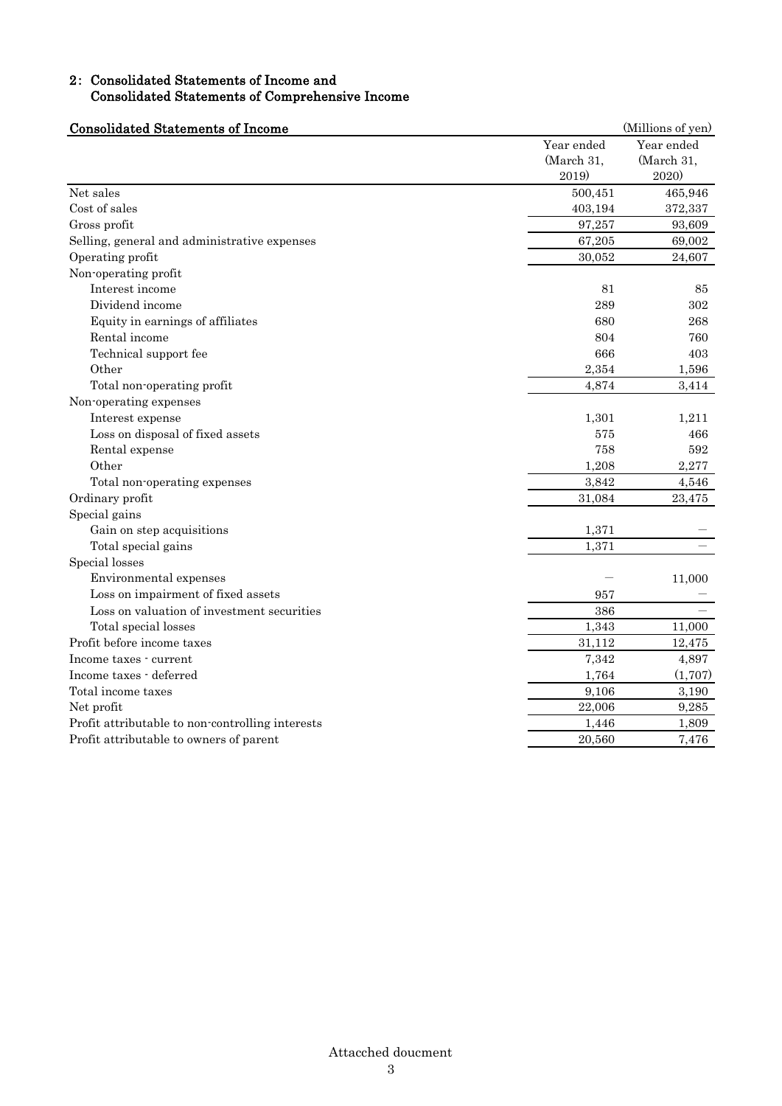## 2: Consolidated Statements of Income and Consolidated Statements of Comprehensive Income

| <b>Consolidated Statements of Income</b>         |            | (Millions of yen) |  |
|--------------------------------------------------|------------|-------------------|--|
|                                                  | Year ended | Year ended        |  |
|                                                  | (March 31, | (March 31,        |  |
|                                                  | 2019)      | 2020)             |  |
| Net sales                                        | 500,451    | 465,946           |  |
| Cost of sales                                    | 403,194    | 372,337           |  |
| Gross profit                                     | 97,257     | 93,609            |  |
| Selling, general and administrative expenses     | 67,205     | 69,002            |  |
| Operating profit                                 | 30,052     | 24,607            |  |
| Non-operating profit                             |            |                   |  |
| Interest income                                  | 81         | 85                |  |
| Dividend income                                  | 289        | 302               |  |
| Equity in earnings of affiliates                 | 680        | 268               |  |
| Rental income                                    | 804        | 760               |  |
| Technical support fee                            | 666        | 403               |  |
| Other                                            | 2,354      | 1,596             |  |
| Total non-operating profit                       | 4,874      | 3,414             |  |
| Non-operating expenses                           |            |                   |  |
| Interest expense                                 | 1,301      | 1,211             |  |
| Loss on disposal of fixed assets                 | 575        | 466               |  |
| Rental expense                                   | 758        | 592               |  |
| Other                                            | 1,208      | 2,277             |  |
| Total non-operating expenses                     | 3,842      | 4,546             |  |
| Ordinary profit                                  | 31,084     | 23,475            |  |
| Special gains                                    |            |                   |  |
| Gain on step acquisitions                        | 1,371      |                   |  |
| Total special gains                              | 1,371      |                   |  |
| Special losses                                   |            |                   |  |
| Environmental expenses                           |            | 11,000            |  |
| Loss on impairment of fixed assets               | 957        |                   |  |
| Loss on valuation of investment securities       | 386        |                   |  |
| Total special losses                             | 1,343      | 11,000            |  |
| Profit before income taxes                       | 31,112     | 12,475            |  |
| Income taxes - current                           | 7,342      | 4,897             |  |
| Income taxes - deferred                          | 1,764      | (1,707)           |  |
| Total income taxes                               | 9,106      | 3,190             |  |
| Net profit                                       | 22,006     | 9,285             |  |
| Profit attributable to non-controlling interests | 1,446      | 1,809             |  |
| Profit attributable to owners of parent          | 20,560     | 7,476             |  |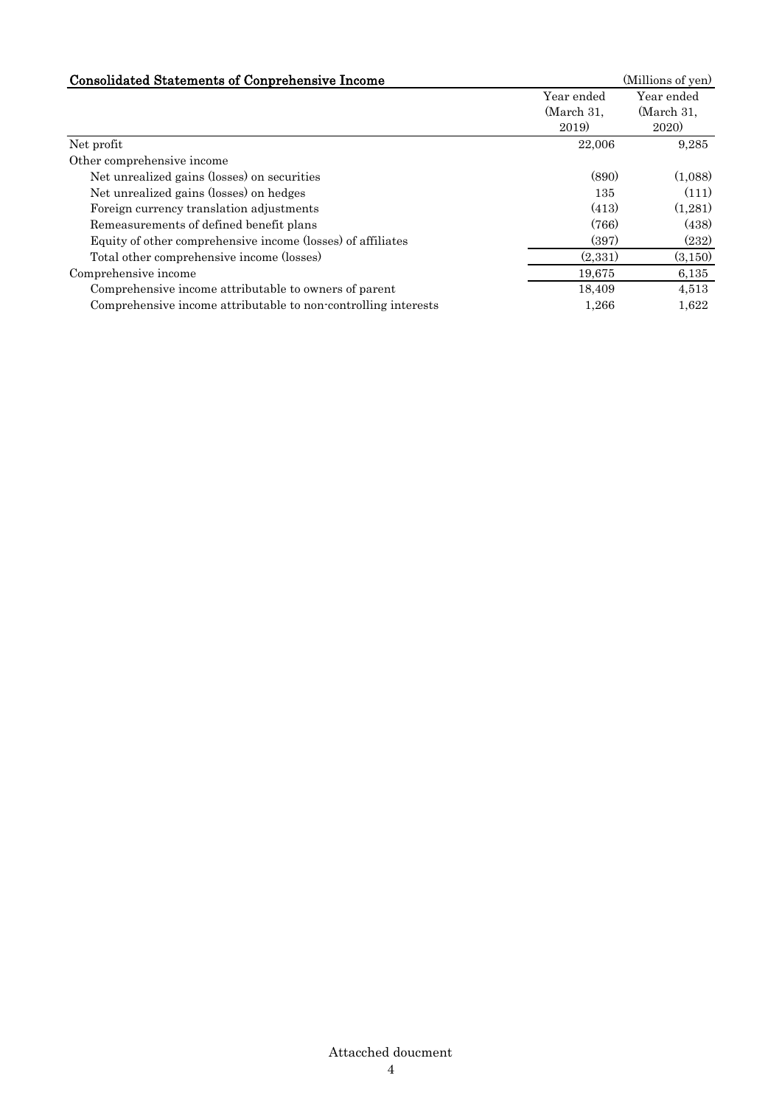| <b>Consolidated Statements of Conprehensive Income</b>         |                                   | (Millions of yen)                       |
|----------------------------------------------------------------|-----------------------------------|-----------------------------------------|
|                                                                | Year ended<br>(March 31,<br>2019) | Year ended<br>(March 31,<br><b>2020</b> |
| Net profit                                                     | 22,006                            | 9,285                                   |
| Other comprehensive income                                     |                                   |                                         |
| Net unrealized gains (losses) on securities                    | (890)                             | (1.088)                                 |
| Net unrealized gains (losses) on hedges                        | 135                               | (111)                                   |
| Foreign currency translation adjustments                       | (413)                             | (1,281)                                 |
| Remeasurements of defined benefit plans                        | (766)                             | (438)                                   |
| Equity of other comprehensive income (losses) of affiliates    | (397)                             | (232)                                   |
| Total other comprehensive income (losses)                      | (2,331)                           | (3,150)                                 |
| Comprehensive income                                           | 19,675                            | 6,135                                   |
| Comprehensive income attributable to owners of parent          | 18,409                            | 4,513                                   |
| Comprehensive income attributable to non-controlling interests | 1,266                             | 1,622                                   |